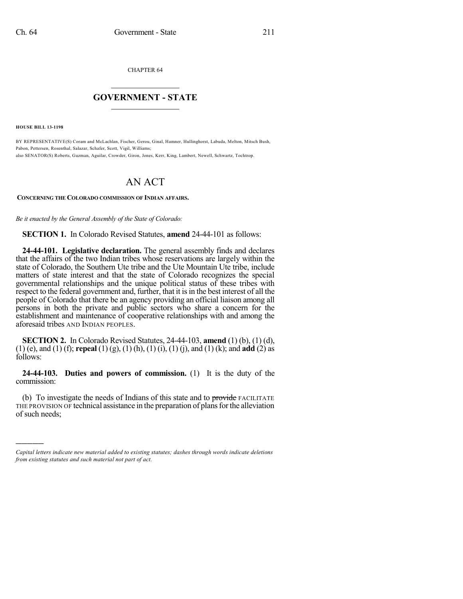CHAPTER 64

## $\mathcal{L}_\text{max}$  . The set of the set of the set of the set of the set of the set of the set of the set of the set of the set of the set of the set of the set of the set of the set of the set of the set of the set of the set **GOVERNMENT - STATE**  $\_$   $\_$   $\_$   $\_$   $\_$   $\_$   $\_$   $\_$   $\_$

**HOUSE BILL 13-1198**

)))))

BY REPRESENTATIVE(S) Coram and McLachlan, Fischer, Gerou, Ginal, Hamner, Hullinghorst, Labuda, Melton, Mitsch Bush, Pabon, Pettersen, Rosenthal, Salazar, Schafer, Scott, Vigil, Williams; also SENATOR(S) Roberts, Guzman, Aguilar, Crowder, Giron, Jones, Kerr, King, Lambert, Newell, Schwartz, Tochtrop.

## AN ACT

## **CONCERNING THE COLORADO COMMISSION OF INDIAN AFFAIRS.**

*Be it enacted by the General Assembly of the State of Colorado:*

**SECTION 1.** In Colorado Revised Statutes, **amend** 24-44-101 as follows:

**24-44-101. Legislative declaration.** The general assembly finds and declares that the affairs of the two Indian tribes whose reservations are largely within the state of Colorado, the Southern Ute tribe and the Ute Mountain Ute tribe, include matters of state interest and that the state of Colorado recognizes the special governmental relationships and the unique political status of these tribes with respect to the federal government and, further, that it is in the best interest of all the people of Colorado that there be an agency providing an official liaison among all persons in both the private and public sectors who share a concern for the establishment and maintenance of cooperative relationships with and among the aforesaid tribes AND INDIAN PEOPLES.

**SECTION 2.** In Colorado Revised Statutes, 24-44-103, **amend** (1) (b), (1) (d), (1) (e), and (1) (f); **repeal** (1) (g), (1) (h), (1) (i), (1) (j), and (1) (k); and **add** (2) as follows:

**24-44-103. Duties and powers of commission.** (1) It is the duty of the commission:

(b) To investigate the needs of Indians of this state and to provide FACILITATE THE PROVISION OF technical assistance in the preparation of plans for the alleviation of such needs;

*Capital letters indicate new material added to existing statutes; dashes through words indicate deletions from existing statutes and such material not part of act.*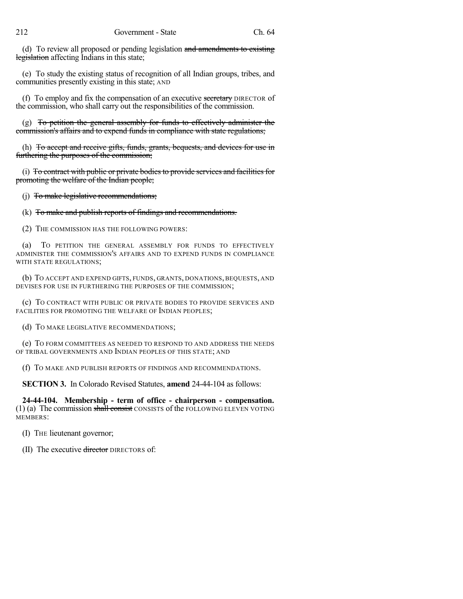(d) To review all proposed or pending legislation and amendments to existing legislation affecting Indians in this state;

(e) To study the existing status of recognition of all Indian groups, tribes, and communities presently existing in this state; AND

(f) To employ and fix the compensation of an executive secretary DIRECTOR of the commission, who shall carry out the responsibilities of the commission.

(g) To petition the general assembly for funds to effectively administer the commission's affairs and to expend funds in compliance with state regulations;

(h) To accept and receive gifts, funds, grants, bequests, and devices for use in furthering the purposes of the commission;

(i) To contract with public or private bodies to provide services and facilities for promoting the welfare of the Indian people;

(j) To make legislative recommendations;

(k) To make and publish reports of findings and recommendations.

(2) THE COMMISSION HAS THE FOLLOWING POWERS:

TO PETITION THE GENERAL ASSEMBLY FOR FUNDS TO EFFECTIVELY ADMINISTER THE COMMISSION'S AFFAIRS AND TO EXPEND FUNDS IN COMPLIANCE WITH STATE REGULATIONS;

(b) TO ACCEPT AND EXPEND GIFTS, FUNDS, GRANTS, DONATIONS, BEQUESTS, AND DEVISES FOR USE IN FURTHERING THE PURPOSES OF THE COMMISSION;

(c) TO CONTRACT WITH PUBLIC OR PRIVATE BODIES TO PROVIDE SERVICES AND FACILITIES FOR PROMOTING THE WELFARE OF INDIAN PEOPLES;

(d) TO MAKE LEGISLATIVE RECOMMENDATIONS;

(e) TO FORM COMMITTEES AS NEEDED TO RESPOND TO AND ADDRESS THE NEEDS OF TRIBAL GOVERNMENTS AND INDIAN PEOPLES OF THIS STATE; AND

(f) TO MAKE AND PUBLISH REPORTS OF FINDINGS AND RECOMMENDATIONS.

**SECTION 3.** In Colorado Revised Statutes, **amend** 24-44-104 as follows:

**24-44-104. Membership - term of office - chairperson - compensation.**  $(1)$  (a) The commission shall consist CONSISTS of the FOLLOWING ELEVEN VOTING MEMBERS:

(I) THE lieutenant governor;

(II) The executive director DIRECTORS of: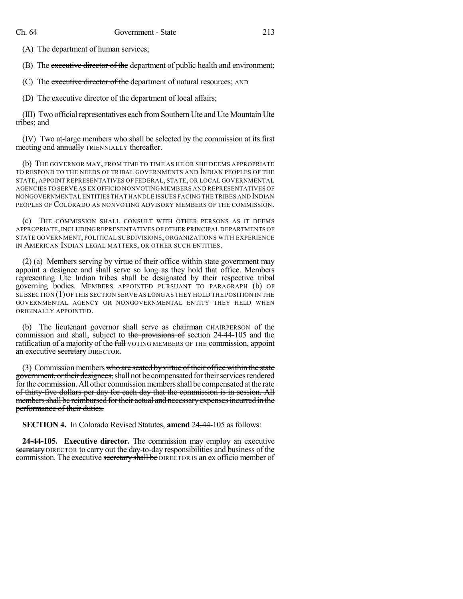(A) The department of human services;

(B) The executive director of the department of public health and environment;

(C) The executive director of the department of natural resources; AND

(D) The executive director of the department of local affairs;

(III) Two official representatives each from Southern Ute and Ute Mountain Ute tribes; and

(IV) Two at-large members who shall be selected by the commission at its first meeting and **annually** TRIENNIALLY thereafter.

(b) THE GOVERNOR MAY, FROM TIME TO TIME AS HE OR SHE DEEMS APPROPRIATE TO RESPOND TO THE NEEDS OF TRIBAL GOVERNMENTS AND INDIAN PEOPLES OF THE STATE, APPOINT REPRESENTATIVES OF FEDERAL, STATE, OR LOCAL GOVERNMENTAL AGENCIES TO SERVE AS EX OFFICIO NONVOTING MEMBERS AND REPRESENTATIVES OF NONGOVERNMENTAL ENTITIES THAT HANDLE ISSUES FACING THE TRIBES AND INDIAN PEOPLES OF COLORADO AS NONVOTING ADVISORY MEMBERS OF THE COMMISSION.

(c) THE COMMISSION SHALL CONSULT WITH OTHER PERSONS AS IT DEEMS APPROPRIATE,INCLUDING REPRESENTATIVES OF OTHER PRINCIPAL DEPARTMENTS OF STATE GOVERNMENT, POLITICAL SUBDIVISIONS, ORGANIZATIONS WITH EXPERIENCE IN AMERICAN INDIAN LEGAL MATTERS, OR OTHER SUCH ENTITIES.

(2) (a) Members serving by virtue of their office within state government may appoint a designee and shall serve so long as they hold that office. Members representing Ute Indian tribes shall be designated by their respective tribal governing bodies. MEMBERS APPOINTED PURSUANT TO PARAGRAPH (b) OF SUBSECTION (1)OF THIS SECTION SERVE AS LONG AS THEY HOLD THE POSITION IN THE GOVERNMENTAL AGENCY OR NONGOVERNMENTAL ENTITY THEY HELD WHEN ORIGINALLY APPOINTED.

(b) The lieutenant governor shall serve as chairman CHAIRPERSON of the commission and shall, subject to the provisions of section 24-44-105 and the ratification of a majority of the full VOTING MEMBERS OF THE commission, appoint an executive secretary DIRECTOR.

(3) Commission members who are seated by virtue of their office within the state government, or their designees, shall not be compensated for their services rendered for the commission. All other commission members shall be compensated at the rate of thirty-five dollars per day for each day that the commission is in session. All members shall be reimbursed for their actual and necessary expenses incurred in the performance of their duties.

**SECTION 4.** In Colorado Revised Statutes, **amend** 24-44-105 as follows:

**24-44-105. Executive director.** The commission may employ an executive secretary DIRECTOR to carry out the day-to-day responsibilities and business of the commission. The executive secretary shall be DIRECTOR IS an ex officio member of